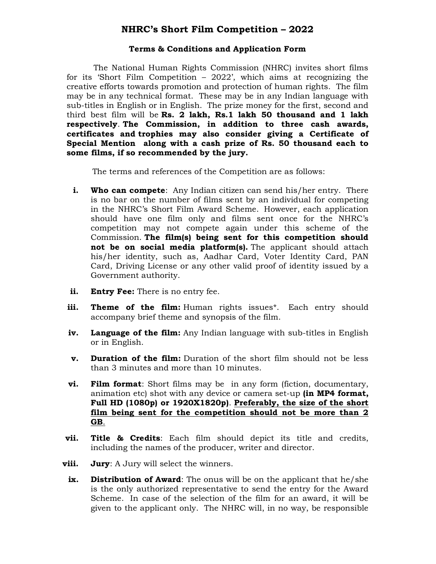# NHRC's Short Film Competition – 2022

#### Terms & Conditions and Application Form

 The National Human Rights Commission (NHRC) invites short films for its 'Short Film Competition – 2022', which aims at recognizing the creative efforts towards promotion and protection of human rights. The film may be in any technical format. These may be in any Indian language with sub-titles in English or in English. The prize money for the first, second and third best film will be  $\text{Rs.}$  2 lakh,  $\text{Rs.}$  1 lakh 50 thousand and 1 lakh respectively. The Commission, in addition to three cash awards, certificates and trophies may also consider giving a Certificate of Special Mention along with a cash prize of Rs. 50 thousand each to some films, if so recommended by the jury.

The terms and references of the Competition are as follows:

- i. Who can compete: Any Indian citizen can send his/her entry. There is no bar on the number of films sent by an individual for competing in the NHRC's Short Film Award Scheme. However, each application should have one film only and films sent once for the NHRC's competition may not compete again under this scheme of the Commission. The film(s) being sent for this competition should not be on social media platform(s). The applicant should attach his/her identity, such as, Aadhar Card, Voter Identity Card, PAN Card, Driving License or any other valid proof of identity issued by a Government authority.
- ii. Entry Fee: There is no entry fee.
- **iii. Theme of the film:** Human rights issues<sup>\*</sup>. Each entry should accompany brief theme and synopsis of the film.
- iv. Language of the film: Any Indian language with sub-titles in English or in English.
- **v. Duration of the film:** Duration of the short film should not be less than 3 minutes and more than 10 minutes.
- vi. Film format: Short films may be in any form (fiction, documentary, animation etc) shot with any device or camera set-up (in MP4 format, Full HD (1080p) or 1920X1820p). Preferably, the size of the short film being sent for the competition should not be more than 2 GB.
- **vii. Title & Credits**: Each film should depict its title and credits, including the names of the producer, writer and director.
- **viii.** Jury: A Jury will select the winners.
	- ix. Distribution of Award: The onus will be on the applicant that he/she is the only authorized representative to send the entry for the Award Scheme. In case of the selection of the film for an award, it will be given to the applicant only. The NHRC will, in no way, be responsible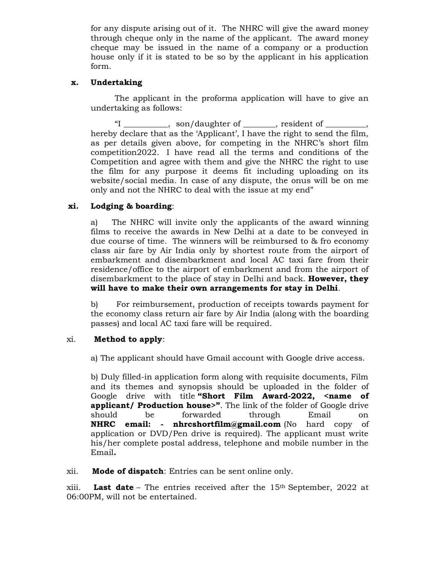for any dispute arising out of it. The NHRC will give the award money through cheque only in the name of the applicant. The award money cheque may be issued in the name of a company or a production house only if it is stated to be so by the applicant in his application form.

## x. Undertaking

The applicant in the proforma application will have to give an undertaking as follows:

"I \_\_\_\_\_\_\_\_\_\_\_, son/daughter of \_\_\_\_\_\_\_\_, resident of \_\_\_\_\_\_\_\_\_\_, hereby declare that as the 'Applicant', I have the right to send the film, as per details given above, for competing in the NHRC's short film competition2022. I have read all the terms and conditions of the Competition and agree with them and give the NHRC the right to use the film for any purpose it deems fit including uploading on its website/social media. In case of any dispute, the onus will be on me only and not the NHRC to deal with the issue at my end"

## xi. Lodging & boarding:

a) The NHRC will invite only the applicants of the award winning films to receive the awards in New Delhi at a date to be conveyed in due course of time. The winners will be reimbursed to & fro economy class air fare by Air India only by shortest route from the airport of embarkment and disembarkment and local AC taxi fare from their residence/office to the airport of embarkment and from the airport of disembarkment to the place of stay in Delhi and back. **However, they** will have to make their own arrangements for stay in Delhi.

b) For reimbursement, production of receipts towards payment for the economy class return air fare by Air India (along with the boarding passes) and local AC taxi fare will be required.

### xi. Method to apply:

a) The applicant should have Gmail account with Google drive access.

b) Duly filled-in application form along with requisite documents, Film and its themes and synopsis should be uploaded in the folder of Google drive with title "Short Film Award-2022, <name of applicant/ Production house>". The link of the folder of Google drive should be forwarded through Email on NHRC email: - nhrcshortfilm@gmail.com (No hard copy of application or DVD/Pen drive is required). The applicant must write his/her complete postal address, telephone and mobile number in the Email.

### xii. Mode of dispatch: Entries can be sent online only.

xiii. **Last date** – The entries received after the  $15<sup>th</sup>$  September, 2022 at 06:00PM, will not be entertained.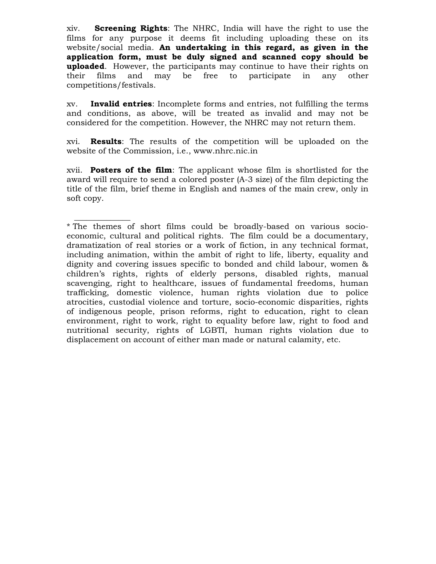xiv. Screening Rights: The NHRC, India will have the right to use the films for any purpose it deems fit including uploading these on its website/social media. An undertaking in this regard, as given in the application form, must be duly signed and scanned copy should be **uploaded.** However, the participants may continue to have their rights on their films and may be free to participate in any other competitions/festivals.

xv. **Invalid entries**: Incomplete forms and entries, not fulfilling the terms and conditions, as above, will be treated as invalid and may not be considered for the competition. However, the NHRC may not return them.

xvi. Results: The results of the competition will be uploaded on the website of the Commission, i.e., www.nhrc.nic.in

xvii. Posters of the film: The applicant whose film is shortlisted for the award will require to send a colored poster (A-3 size) of the film depicting the title of the film, brief theme in English and names of the main crew, only in soft copy.

 $\overline{\phantom{a}}$  , and the set of the set of the set of the set of the set of the set of the set of the set of the set of the set of the set of the set of the set of the set of the set of the set of the set of the set of the s \* The themes of short films could be broadly-based on various socioeconomic, cultural and political rights. The film could be a documentary, dramatization of real stories or a work of fiction, in any technical format, including animation, within the ambit of right to life, liberty, equality and dignity and covering issues specific to bonded and child labour, women & children's rights, rights of elderly persons, disabled rights, manual scavenging, right to healthcare, issues of fundamental freedoms, human trafficking, domestic violence, human rights violation due to police atrocities, custodial violence and torture, socio-economic disparities, rights of indigenous people, prison reforms, right to education, right to clean environment, right to work, right to equality before law, right to food and nutritional security, rights of LGBTI, human rights violation due to displacement on account of either man made or natural calamity, etc.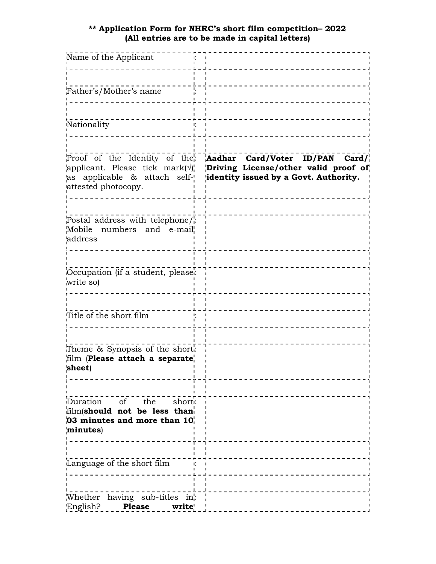#### \*\* Application Form for NHRC's short film competition– 2022 (All entries are to be made in capital letters)

| Name of the Applicant                                                                                                                      |                                                                                                                 |
|--------------------------------------------------------------------------------------------------------------------------------------------|-----------------------------------------------------------------------------------------------------------------|
| Father's/Mother's name                                                                                                                     |                                                                                                                 |
| Nationality                                                                                                                                |                                                                                                                 |
| Proof of the Identity of the:<br>applicant. Please tick mark $(\sqrt{})_1^{\prime}$<br>as applicable & attach self-<br>attested photocopy. | Aadhar Card/Voter ID/PAN Card/<br>Driving License/other valid proof of<br>identity issued by a Govt. Authority. |
| Postal address with telephone/;<br>Mobile numbers and e-mail<br>address                                                                    |                                                                                                                 |
| Occupation (if a student, pleasei:<br>write so)                                                                                            |                                                                                                                 |
| Title of the short film                                                                                                                    |                                                                                                                 |
| Theme & Synopsis of the short:<br>film (Please attach a separate,<br>sheet)                                                                |                                                                                                                 |
| Duration of the<br>short:<br>film(should not be less than<br>$\sqrt{03}$ minutes and more than $101$<br>minutes)                           |                                                                                                                 |
| Language of the short film                                                                                                                 | - - - - - - - - - - - - -                                                                                       |
| Whether having sub-titles in":<br>English?<br><b>Please</b><br>write'                                                                      |                                                                                                                 |